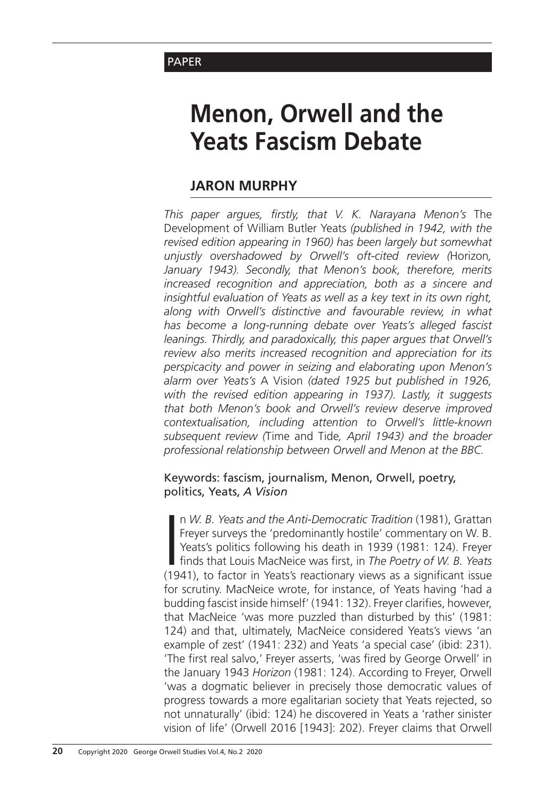## **PAPER**

# **Menon, Orwell and the Yeats Fascism Debate**

## **Jaron Murphy**

*This paper argues, firstly, that V. K. Narayana Menon's* The Development of William Butler Yeats *(published in 1942, with the revised edition appearing in 1960) has been largely but somewhat unjustly overshadowed by Orwell's oft-cited review (*Horizon*, January 1943). Secondly, that Menon's book, therefore, merits increased recognition and appreciation, both as a sincere and insightful evaluation of Yeats as well as a key text in its own right, along with Orwell's distinctive and favourable review, in what has become a long-running debate over Yeats's alleged fascist leanings. Thirdly, and paradoxically, this paper argues that Orwell's review also merits increased recognition and appreciation for its perspicacity and power in seizing and elaborating upon Menon's alarm over Yeats's* A Vision *(dated 1925 but published in 1926, with the revised edition appearing in 1937). Lastly, it suggests that both Menon's book and Orwell's review deserve improved contextualisation, including attention to Orwell's little-known subsequent review (*Time and Tide*, April 1943) and the broader professional relationship between Orwell and Menon at the BBC.*

#### Keywords: fascism, journalism, Menon, Orwell, poetry, politics, Yeats, *A Vision*

n W. B. Yeats and the Anti-Democratic Tradition (1981), Grattan Freyer surveys the 'predominantly hostile' commentary on W. B. Yeats's politics following his death in 1939 (1981: 124). Freyer finds that Louis MacNeice was n *W. B. Yeats and the Anti-Democratic Tradition* (1981), Grattan Freyer surveys the 'predominantly hostile' commentary on W. B. Yeats's politics following his death in 1939 (1981: 124). Freyer finds that Louis MacNeice was first, in *The Poetry of W. B. Yeats* for scrutiny. MacNeice wrote, for instance, of Yeats having 'had a budding fascist inside himself' (1941: 132). Freyer clarifies, however, that MacNeice 'was more puzzled than disturbed by this' (1981: 124) and that, ultimately, MacNeice considered Yeats's views 'an example of zest' (1941: 232) and Yeats 'a special case' (ibid: 231). 'The first real salvo,' Freyer asserts, 'was fired by George Orwell' in the January 1943 *Horizon* (1981: 124). According to Freyer, Orwell 'was a dogmatic believer in precisely those democratic values of progress towards a more egalitarian society that Yeats rejected, so not unnaturally' (ibid: 124) he discovered in Yeats a 'rather sinister vision of life' (Orwell 2016 [1943]: 202). Freyer claims that Orwell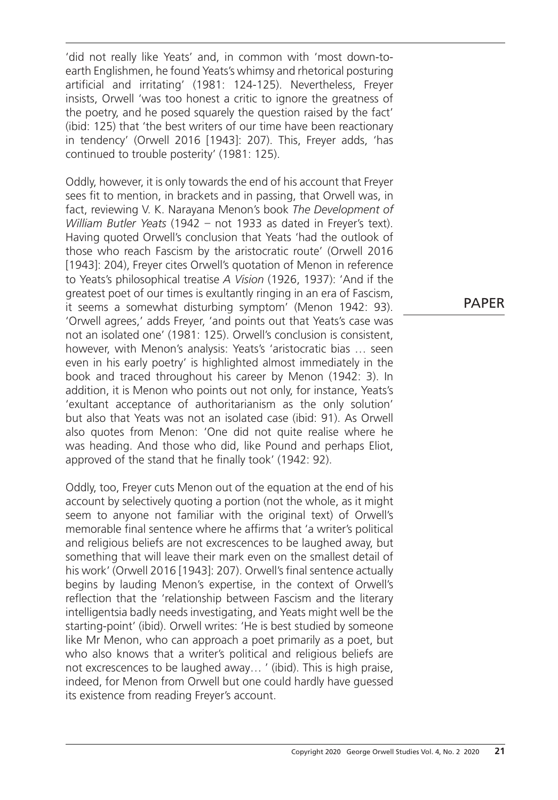'did not really like Yeats' and, in common with 'most down-toearth Englishmen, he found Yeats's whimsy and rhetorical posturing artificial and irritating' (1981: 124-125). Nevertheless, Freyer insists, Orwell 'was too honest a critic to ignore the greatness of the poetry, and he posed squarely the question raised by the fact' (ibid: 125) that 'the best writers of our time have been reactionary in tendency' (Orwell 2016 [1943]: 207). This, Freyer adds, 'has continued to trouble posterity' (1981: 125).

Oddly, however, it is only towards the end of his account that Freyer sees fit to mention, in brackets and in passing, that Orwell was, in fact, reviewing V. K. Narayana Menon's book *The Development of William Butler Yeats* (1942 – not 1933 as dated in Freyer's text). Having quoted Orwell's conclusion that Yeats 'had the outlook of those who reach Fascism by the aristocratic route' (Orwell 2016 [1943]: 204), Freyer cites Orwell's quotation of Menon in reference to Yeats's philosophical treatise *A Vision* (1926, 1937): 'And if the greatest poet of our times is exultantly ringing in an era of Fascism, it seems a somewhat disturbing symptom' (Menon 1942: 93). 'Orwell agrees,' adds Freyer, 'and points out that Yeats's case was not an isolated one' (1981: 125). Orwell's conclusion is consistent, however, with Menon's analysis: Yeats's 'aristocratic bias … seen even in his early poetry' is highlighted almost immediately in the book and traced throughout his career by Menon (1942: 3). In addition, it is Menon who points out not only, for instance, Yeats's 'exultant acceptance of authoritarianism as the only solution' but also that Yeats was not an isolated case (ibid: 91). As Orwell also quotes from Menon: 'One did not quite realise where he was heading. And those who did, like Pound and perhaps Eliot, approved of the stand that he finally took' (1942: 92).

Oddly, too, Freyer cuts Menon out of the equation at the end of his account by selectively quoting a portion (not the whole, as it might seem to anyone not familiar with the original text) of Orwell's memorable final sentence where he affirms that 'a writer's political and religious beliefs are not excrescences to be laughed away, but something that will leave their mark even on the smallest detail of his work' (Orwell 2016 [1943]: 207). Orwell's final sentence actually begins by lauding Menon's expertise, in the context of Orwell's reflection that the 'relationship between Fascism and the literary intelligentsia badly needs investigating, and Yeats might well be the starting-point' (ibid). Orwell writes: 'He is best studied by someone like Mr Menon, who can approach a poet primarily as a poet, but who also knows that a writer's political and religious beliefs are not excrescences to be laughed away… ' (ibid). This is high praise, indeed, for Menon from Orwell but one could hardly have guessed its existence from reading Freyer's account.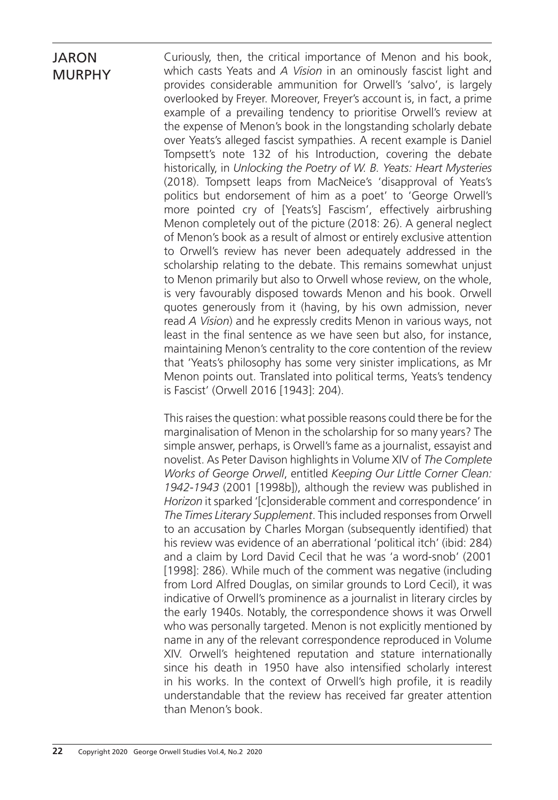Curiously, then, the critical importance of Menon and his book, which casts Yeats and *A Vision* in an ominously fascist light and provides considerable ammunition for Orwell's 'salvo', is largely overlooked by Freyer. Moreover, Freyer's account is, in fact, a prime example of a prevailing tendency to prioritise Orwell's review at the expense of Menon's book in the longstanding scholarly debate over Yeats's alleged fascist sympathies. A recent example is Daniel Tompsett's note 132 of his Introduction, covering the debate historically, in *Unlocking the Poetry of W. B. Yeats: Heart Mysteries* (2018). Tompsett leaps from MacNeice's 'disapproval of Yeats's politics but endorsement of him as a poet' to 'George Orwell's more pointed cry of [Yeats's] Fascism', effectively airbrushing Menon completely out of the picture (2018: 26). A general neglect of Menon's book as a result of almost or entirely exclusive attention to Orwell's review has never been adequately addressed in the scholarship relating to the debate. This remains somewhat unjust to Menon primarily but also to Orwell whose review, on the whole, is very favourably disposed towards Menon and his book. Orwell quotes generously from it (having, by his own admission, never read *A Vision*) and he expressly credits Menon in various ways, not least in the final sentence as we have seen but also, for instance, maintaining Menon's centrality to the core contention of the review that 'Yeats's philosophy has some very sinister implications, as Mr Menon points out. Translated into political terms, Yeats's tendency is Fascist' (Orwell 2016 [1943]: 204).

This raises the question: what possible reasons could there be for the marginalisation of Menon in the scholarship for so many years? The simple answer, perhaps, is Orwell's fame as a journalist, essayist and novelist. As Peter Davison highlights in Volume XIV of *The Complete Works of George Orwell*, entitled *Keeping Our Little Corner Clean: 1942-1943* (2001 [1998b]), although the review was published in *Horizon* it sparked '[c]onsiderable comment and correspondence' in *The Times Literary Supplement*. This included responses from Orwell to an accusation by Charles Morgan (subsequently identified) that his review was evidence of an aberrational 'political itch' (ibid: 284) and a claim by Lord David Cecil that he was 'a word-snob' (2001 [1998]: 286). While much of the comment was negative (including from Lord Alfred Douglas, on similar grounds to Lord Cecil), it was indicative of Orwell's prominence as a journalist in literary circles by the early 1940s. Notably, the correspondence shows it was Orwell who was personally targeted. Menon is not explicitly mentioned by name in any of the relevant correspondence reproduced in Volume XIV. Orwell's heightened reputation and stature internationally since his death in 1950 have also intensified scholarly interest in his works. In the context of Orwell's high profile, it is readily understandable that the review has received far greater attention than Menon's book.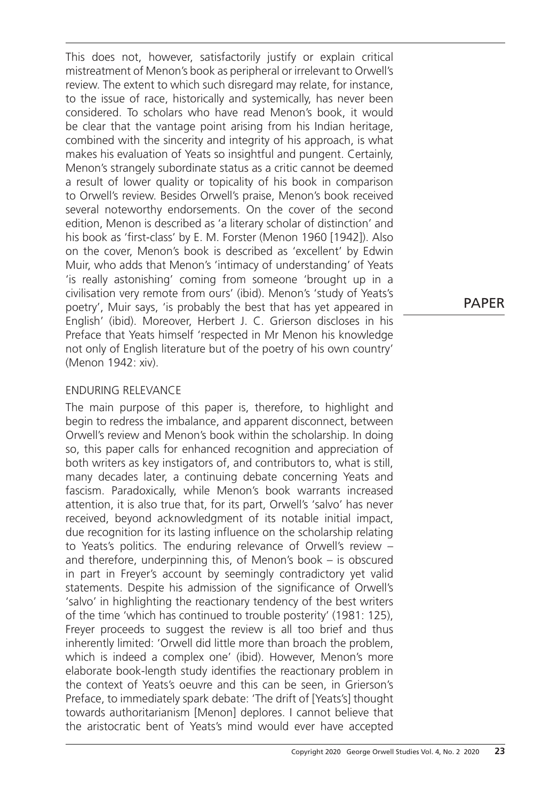This does not, however, satisfactorily justify or explain critical mistreatment of Menon's book as peripheral or irrelevant to Orwell's review. The extent to which such disregard may relate, for instance, to the issue of race, historically and systemically, has never been considered. To scholars who have read Menon's book, it would be clear that the vantage point arising from his Indian heritage, combined with the sincerity and integrity of his approach, is what makes his evaluation of Yeats so insightful and pungent. Certainly, Menon's strangely subordinate status as a critic cannot be deemed a result of lower quality or topicality of his book in comparison to Orwell's review. Besides Orwell's praise, Menon's book received several noteworthy endorsements. On the cover of the second edition, Menon is described as 'a literary scholar of distinction' and his book as 'first-class' by E. M. Forster (Menon 1960 [1942]). Also on the cover, Menon's book is described as 'excellent' by Edwin Muir, who adds that Menon's 'intimacy of understanding' of Yeats 'is really astonishing' coming from someone 'brought up in a civilisation very remote from ours' (ibid). Menon's 'study of Yeats's poetry', Muir says, 'is probably the best that has yet appeared in English' (ibid). Moreover, Herbert J. C. Grierson discloses in his Preface that Yeats himself 'respected in Mr Menon his knowledge not only of English literature but of the poetry of his own country' (Menon 1942: xiv).

#### Enduring Relevance

The main purpose of this paper is, therefore, to highlight and begin to redress the imbalance, and apparent disconnect, between Orwell's review and Menon's book within the scholarship. In doing so, this paper calls for enhanced recognition and appreciation of both writers as key instigators of, and contributors to, what is still, many decades later, a continuing debate concerning Yeats and fascism. Paradoxically, while Menon's book warrants increased attention, it is also true that, for its part, Orwell's 'salvo' has never received, beyond acknowledgment of its notable initial impact, due recognition for its lasting influence on the scholarship relating to Yeats's politics. The enduring relevance of Orwell's review – and therefore, underpinning this, of Menon's book – is obscured in part in Freyer's account by seemingly contradictory yet valid statements. Despite his admission of the significance of Orwell's 'salvo' in highlighting the reactionary tendency of the best writers of the time 'which has continued to trouble posterity' (1981: 125), Freyer proceeds to suggest the review is all too brief and thus inherently limited: 'Orwell did little more than broach the problem, which is indeed a complex one' (ibid). However, Menon's more elaborate book-length study identifies the reactionary problem in the context of Yeats's oeuvre and this can be seen, in Grierson's Preface, to immediately spark debate: 'The drift of [Yeats's] thought towards authoritarianism [Menon] deplores. I cannot believe that the aristocratic bent of Yeats's mind would ever have accepted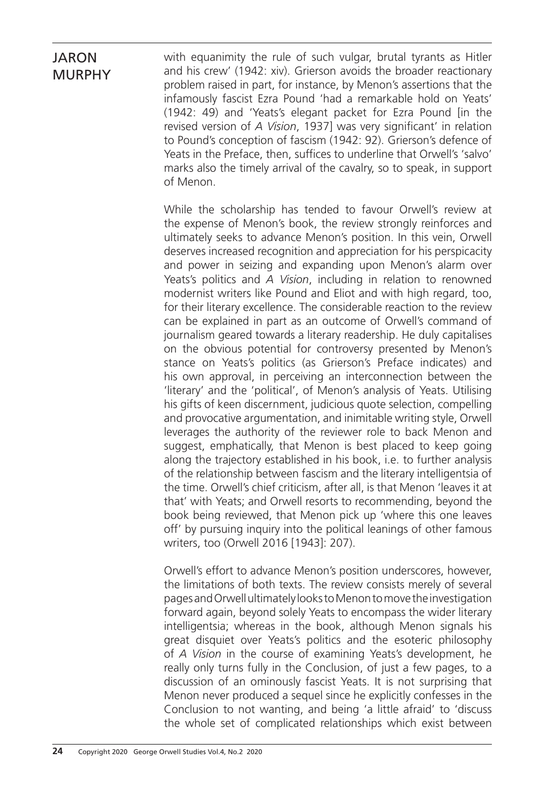with equanimity the rule of such vulgar, brutal tyrants as Hitler and his crew' (1942: xiv). Grierson avoids the broader reactionary problem raised in part, for instance, by Menon's assertions that the infamously fascist Ezra Pound 'had a remarkable hold on Yeats' (1942: 49) and 'Yeats's elegant packet for Ezra Pound [in the revised version of *A Vision*, 1937] was very significant' in relation to Pound's conception of fascism (1942: 92). Grierson's defence of Yeats in the Preface, then, suffices to underline that Orwell's 'salvo' marks also the timely arrival of the cavalry, so to speak, in support of Menon.

While the scholarship has tended to favour Orwell's review at the expense of Menon's book, the review strongly reinforces and ultimately seeks to advance Menon's position. In this vein, Orwell deserves increased recognition and appreciation for his perspicacity and power in seizing and expanding upon Menon's alarm over Yeats's politics and *A Vision*, including in relation to renowned modernist writers like Pound and Eliot and with high regard, too, for their literary excellence. The considerable reaction to the review can be explained in part as an outcome of Orwell's command of journalism geared towards a literary readership. He duly capitalises on the obvious potential for controversy presented by Menon's stance on Yeats's politics (as Grierson's Preface indicates) and his own approval, in perceiving an interconnection between the 'literary' and the 'political', of Menon's analysis of Yeats. Utilising his gifts of keen discernment, judicious quote selection, compelling and provocative argumentation, and inimitable writing style, Orwell leverages the authority of the reviewer role to back Menon and suggest, emphatically, that Menon is best placed to keep going along the trajectory established in his book, i.e. to further analysis of the relationship between fascism and the literary intelligentsia of the time. Orwell's chief criticism, after all, is that Menon 'leaves it at that' with Yeats; and Orwell resorts to recommending, beyond the book being reviewed, that Menon pick up 'where this one leaves off' by pursuing inquiry into the political leanings of other famous writers, too (Orwell 2016 [1943]: 207).

Orwell's effort to advance Menon's position underscores, however, the limitations of both texts. The review consists merely of several pages and Orwell ultimately looks to Menon to move the investigation forward again, beyond solely Yeats to encompass the wider literary intelligentsia; whereas in the book, although Menon signals his great disquiet over Yeats's politics and the esoteric philosophy of *A Vision* in the course of examining Yeats's development, he really only turns fully in the Conclusion, of just a few pages, to a discussion of an ominously fascist Yeats. It is not surprising that Menon never produced a sequel since he explicitly confesses in the Conclusion to not wanting, and being 'a little afraid' to 'discuss the whole set of complicated relationships which exist between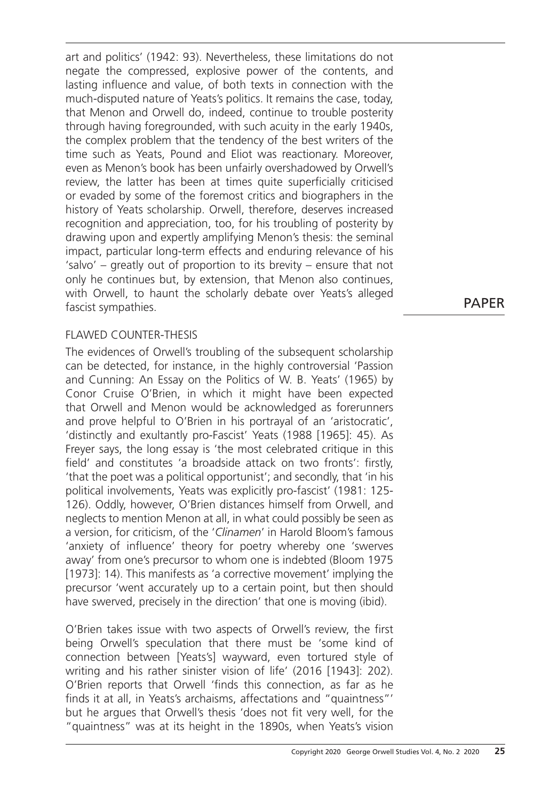art and politics' (1942: 93). Nevertheless, these limitations do not negate the compressed, explosive power of the contents, and lasting influence and value, of both texts in connection with the much-disputed nature of Yeats's politics. It remains the case, today, that Menon and Orwell do, indeed, continue to trouble posterity through having foregrounded, with such acuity in the early 1940s, the complex problem that the tendency of the best writers of the time such as Yeats, Pound and Eliot was reactionary. Moreover, even as Menon's book has been unfairly overshadowed by Orwell's review, the latter has been at times quite superficially criticised or evaded by some of the foremost critics and biographers in the history of Yeats scholarship. Orwell, therefore, deserves increased recognition and appreciation, too, for his troubling of posterity by drawing upon and expertly amplifying Menon's thesis: the seminal impact, particular long-term effects and enduring relevance of his 'salvo' – greatly out of proportion to its brevity – ensure that not only he continues but, by extension, that Menon also continues, with Orwell, to haunt the scholarly debate over Yeats's alleged fascist sympathies.

## PAPER

#### Flawed Counter-Thesis

The evidences of Orwell's troubling of the subsequent scholarship can be detected, for instance, in the highly controversial 'Passion and Cunning: An Essay on the Politics of W. B. Yeats' (1965) by Conor Cruise O'Brien, in which it might have been expected that Orwell and Menon would be acknowledged as forerunners and prove helpful to O'Brien in his portrayal of an 'aristocratic', 'distinctly and exultantly pro-Fascist' Yeats (1988 [1965]: 45). As Freyer says, the long essay is 'the most celebrated critique in this field' and constitutes 'a broadside attack on two fronts': firstly, 'that the poet was a political opportunist'; and secondly, that 'in his political involvements, Yeats was explicitly pro-fascist' (1981: 125- 126). Oddly, however, O'Brien distances himself from Orwell, and neglects to mention Menon at all, in what could possibly be seen as a version, for criticism, of the '*Clinamen*' in Harold Bloom's famous 'anxiety of influence' theory for poetry whereby one 'swerves away' from one's precursor to whom one is indebted (Bloom 1975 [1973]: 14). This manifests as 'a corrective movement' implying the precursor 'went accurately up to a certain point, but then should have swerved, precisely in the direction' that one is moving (ibid).

O'Brien takes issue with two aspects of Orwell's review, the first being Orwell's speculation that there must be 'some kind of connection between [Yeats's] wayward, even tortured style of writing and his rather sinister vision of life' (2016 [1943]: 202). O'Brien reports that Orwell 'finds this connection, as far as he finds it at all, in Yeats's archaisms, affectations and "quaintness"' but he argues that Orwell's thesis 'does not fit very well, for the "quaintness" was at its height in the 1890s, when Yeats's vision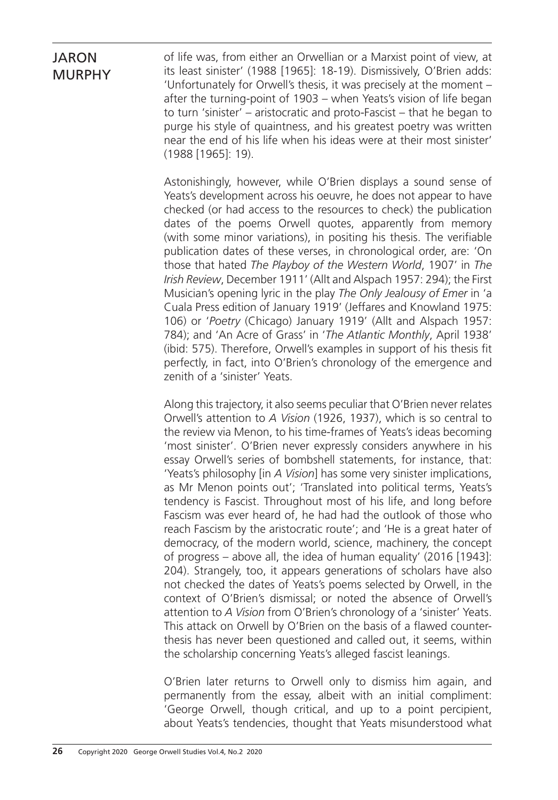of life was, from either an Orwellian or a Marxist point of view, at its least sinister' (1988 [1965]: 18-19). Dismissively, O'Brien adds: 'Unfortunately for Orwell's thesis, it was precisely at the moment – after the turning-point of 1903 – when Yeats's vision of life began to turn 'sinister' – aristocratic and proto-Fascist – that he began to purge his style of quaintness, and his greatest poetry was written near the end of his life when his ideas were at their most sinister' (1988 [1965]: 19).

Astonishingly, however, while O'Brien displays a sound sense of Yeats's development across his oeuvre, he does not appear to have checked (or had access to the resources to check) the publication dates of the poems Orwell quotes, apparently from memory (with some minor variations), in positing his thesis. The verifiable publication dates of these verses, in chronological order, are: 'On those that hated *The Playboy of the Western World*, 1907' in *The Irish Review*, December 1911' (Allt and Alspach 1957: 294); the First Musician's opening lyric in the play *The Only Jealousy of Emer* in 'a Cuala Press edition of January 1919' (Jeffares and Knowland 1975: 106) or '*Poetry* (Chicago) January 1919' (Allt and Alspach 1957: 784); and 'An Acre of Grass' in '*The Atlantic Monthly*, April 1938' (ibid: 575). Therefore, Orwell's examples in support of his thesis fit perfectly, in fact, into O'Brien's chronology of the emergence and zenith of a 'sinister' Yeats.

Along this trajectory, it also seems peculiar that O'Brien never relates Orwell's attention to *A Vision* (1926, 1937), which is so central to the review via Menon, to his time-frames of Yeats's ideas becoming 'most sinister'. O'Brien never expressly considers anywhere in his essay Orwell's series of bombshell statements, for instance, that: 'Yeats's philosophy [in *A Vision*] has some very sinister implications, as Mr Menon points out'; 'Translated into political terms, Yeats's tendency is Fascist. Throughout most of his life, and long before Fascism was ever heard of, he had had the outlook of those who reach Fascism by the aristocratic route'; and 'He is a great hater of democracy, of the modern world, science, machinery, the concept of progress – above all, the idea of human equality' (2016 [1943]: 204). Strangely, too, it appears generations of scholars have also not checked the dates of Yeats's poems selected by Orwell, in the context of O'Brien's dismissal; or noted the absence of Orwell's attention to *A Vision* from O'Brien's chronology of a 'sinister' Yeats. This attack on Orwell by O'Brien on the basis of a flawed counterthesis has never been questioned and called out, it seems, within the scholarship concerning Yeats's alleged fascist leanings.

O'Brien later returns to Orwell only to dismiss him again, and permanently from the essay, albeit with an initial compliment: 'George Orwell, though critical, and up to a point percipient, about Yeats's tendencies, thought that Yeats misunderstood what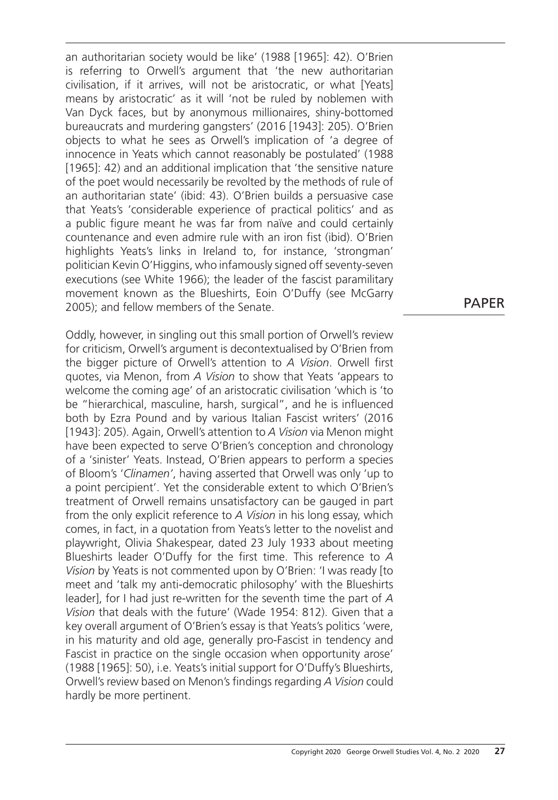an authoritarian society would be like' (1988 [1965]: 42). O'Brien is referring to Orwell's argument that 'the new authoritarian civilisation, if it arrives, will not be aristocratic, or what [Yeats] means by aristocratic' as it will 'not be ruled by noblemen with Van Dyck faces, but by anonymous millionaires, shiny-bottomed bureaucrats and murdering gangsters' (2016 [1943]: 205). O'Brien objects to what he sees as Orwell's implication of 'a degree of innocence in Yeats which cannot reasonably be postulated' (1988 [1965]: 42) and an additional implication that 'the sensitive nature of the poet would necessarily be revolted by the methods of rule of an authoritarian state' (ibid: 43). O'Brien builds a persuasive case that Yeats's 'considerable experience of practical politics' and as a public figure meant he was far from naïve and could certainly countenance and even admire rule with an iron fist (ibid). O'Brien highlights Yeats's links in Ireland to, for instance, 'strongman' politician Kevin O'Higgins, who infamously signed off seventy-seven executions (see White 1966); the leader of the fascist paramilitary movement known as the Blueshirts, Eoin O'Duffy (see McGarry 2005); and fellow members of the Senate.

Oddly, however, in singling out this small portion of Orwell's review for criticism, Orwell's argument is decontextualised by O'Brien from the bigger picture of Orwell's attention to *A Vision*. Orwell first quotes, via Menon, from *A Vision* to show that Yeats 'appears to welcome the coming age' of an aristocratic civilisation 'which is 'to be "hierarchical, masculine, harsh, surgical", and he is influenced both by Ezra Pound and by various Italian Fascist writers' (2016 [1943]: 205). Again, Orwell's attention to *A Vision* via Menon might have been expected to serve O'Brien's conception and chronology of a 'sinister' Yeats. Instead, O'Brien appears to perform a species of Bloom's '*Clinamen'*, having asserted that Orwell was only 'up to a point percipient'. Yet the considerable extent to which O'Brien's treatment of Orwell remains unsatisfactory can be gauged in part from the only explicit reference to *A Vision* in his long essay, which comes, in fact, in a quotation from Yeats's letter to the novelist and playwright, Olivia Shakespear, dated 23 July 1933 about meeting Blueshirts leader O'Duffy for the first time. This reference to *A Vision* by Yeats is not commented upon by O'Brien: 'I was ready [to meet and 'talk my anti-democratic philosophy' with the Blueshirts leader], for I had just re-written for the seventh time the part of *A Vision* that deals with the future' (Wade 1954: 812). Given that a key overall argument of O'Brien's essay is that Yeats's politics 'were, in his maturity and old age, generally pro-Fascist in tendency and Fascist in practice on the single occasion when opportunity arose' (1988 [1965]: 50), i.e. Yeats's initial support for O'Duffy's Blueshirts, Orwell's review based on Menon's findings regarding *A Vision* could hardly be more pertinent.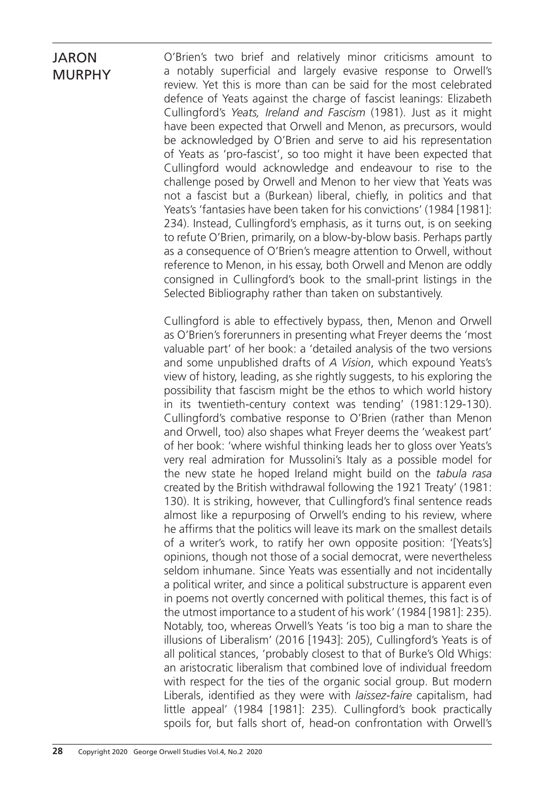O'Brien's two brief and relatively minor criticisms amount to a notably superficial and largely evasive response to Orwell's review. Yet this is more than can be said for the most celebrated defence of Yeats against the charge of fascist leanings: Elizabeth Cullingford's *Yeats, Ireland and Fascism* (1981). Just as it might have been expected that Orwell and Menon, as precursors, would be acknowledged by O'Brien and serve to aid his representation of Yeats as 'pro-fascist', so too might it have been expected that Cullingford would acknowledge and endeavour to rise to the challenge posed by Orwell and Menon to her view that Yeats was not a fascist but a (Burkean) liberal, chiefly, in politics and that Yeats's 'fantasies have been taken for his convictions' (1984 [1981]: 234). Instead, Cullingford's emphasis, as it turns out, is on seeking to refute O'Brien, primarily, on a blow-by-blow basis. Perhaps partly as a consequence of O'Brien's meagre attention to Orwell, without reference to Menon, in his essay, both Orwell and Menon are oddly consigned in Cullingford's book to the small-print listings in the Selected Bibliography rather than taken on substantively.

Cullingford is able to effectively bypass, then, Menon and Orwell as O'Brien's forerunners in presenting what Freyer deems the 'most valuable part' of her book: a 'detailed analysis of the two versions and some unpublished drafts of *A Vision*, which expound Yeats's view of history, leading, as she rightly suggests, to his exploring the possibility that fascism might be the ethos to which world history in its twentieth-century context was tending' (1981:129-130). Cullingford's combative response to O'Brien (rather than Menon and Orwell, too) also shapes what Freyer deems the 'weakest part' of her book: 'where wishful thinking leads her to gloss over Yeats's very real admiration for Mussolini's Italy as a possible model for the new state he hoped Ireland might build on the *tabula rasa* created by the British withdrawal following the 1921 Treaty' (1981: 130). It is striking, however, that Cullingford's final sentence reads almost like a repurposing of Orwell's ending to his review, where he affirms that the politics will leave its mark on the smallest details of a writer's work, to ratify her own opposite position: '[Yeats's] opinions, though not those of a social democrat, were nevertheless seldom inhumane. Since Yeats was essentially and not incidentally a political writer, and since a political substructure is apparent even in poems not overtly concerned with political themes, this fact is of the utmost importance to a student of his work' (1984 [1981]: 235). Notably, too, whereas Orwell's Yeats 'is too big a man to share the illusions of Liberalism' (2016 [1943]: 205), Cullingford's Yeats is of all political stances, 'probably closest to that of Burke's Old Whigs: an aristocratic liberalism that combined love of individual freedom with respect for the ties of the organic social group. But modern Liberals, identified as they were with *laissez-faire* capitalism, had little appeal' (1984 [1981]: 235). Cullingford's book practically spoils for, but falls short of, head-on confrontation with Orwell's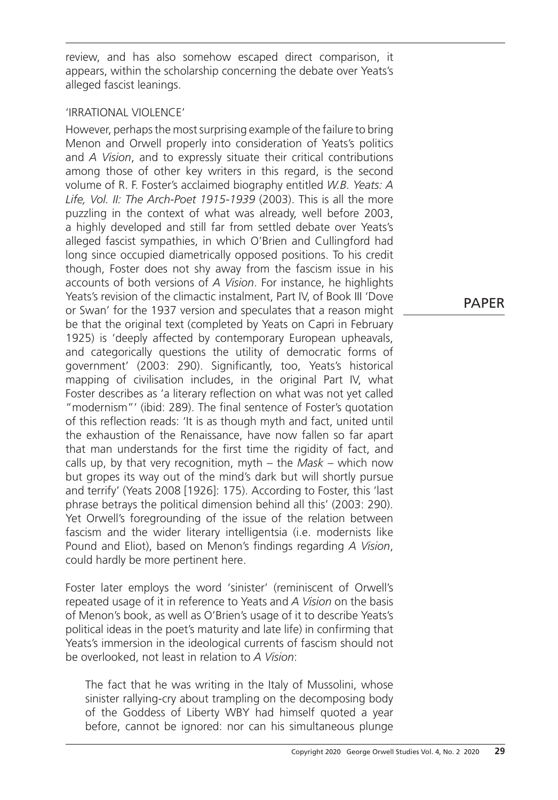review, and has also somehow escaped direct comparison, it appears, within the scholarship concerning the debate over Yeats's alleged fascist leanings.

### 'Irrational Violence'

However, perhaps the most surprising example of the failure to bring Menon and Orwell properly into consideration of Yeats's politics and *A Vision*, and to expressly situate their critical contributions among those of other key writers in this regard, is the second volume of R. F. Foster's acclaimed biography entitled *W.B. Yeats: A Life, Vol. II: The Arch-Poet 1915-1939* (2003). This is all the more puzzling in the context of what was already, well before 2003, a highly developed and still far from settled debate over Yeats's alleged fascist sympathies, in which O'Brien and Cullingford had long since occupied diametrically opposed positions. To his credit though, Foster does not shy away from the fascism issue in his accounts of both versions of *A Vision*. For instance, he highlights Yeats's revision of the climactic instalment, Part IV, of Book III 'Dove or Swan' for the 1937 version and speculates that a reason might be that the original text (completed by Yeats on Capri in February 1925) is 'deeply affected by contemporary European upheavals, and categorically questions the utility of democratic forms of government' (2003: 290). Significantly, too, Yeats's historical mapping of civilisation includes, in the original Part IV, what Foster describes as 'a literary reflection on what was not yet called "modernism"' (ibid: 289). The final sentence of Foster's quotation of this reflection reads: 'It is as though myth and fact, united until the exhaustion of the Renaissance, have now fallen so far apart that man understands for the first time the rigidity of fact, and calls up, by that very recognition, myth – the *Mask* – which now but gropes its way out of the mind's dark but will shortly pursue and terrify' (Yeats 2008 [1926]: 175). According to Foster, this 'last phrase betrays the political dimension behind all this' (2003: 290). Yet Orwell's foregrounding of the issue of the relation between fascism and the wider literary intelligentsia (i.e. modernists like Pound and Eliot), based on Menon's findings regarding *A Vision*, could hardly be more pertinent here.

Foster later employs the word 'sinister' (reminiscent of Orwell's repeated usage of it in reference to Yeats and *A Vision* on the basis of Menon's book, as well as O'Brien's usage of it to describe Yeats's political ideas in the poet's maturity and late life) in confirming that Yeats's immersion in the ideological currents of fascism should not be overlooked, not least in relation to *A Vision*:

The fact that he was writing in the Italy of Mussolini, whose sinister rallying-cry about trampling on the decomposing body of the Goddess of Liberty WBY had himself quoted a year before, cannot be ignored: nor can his simultaneous plunge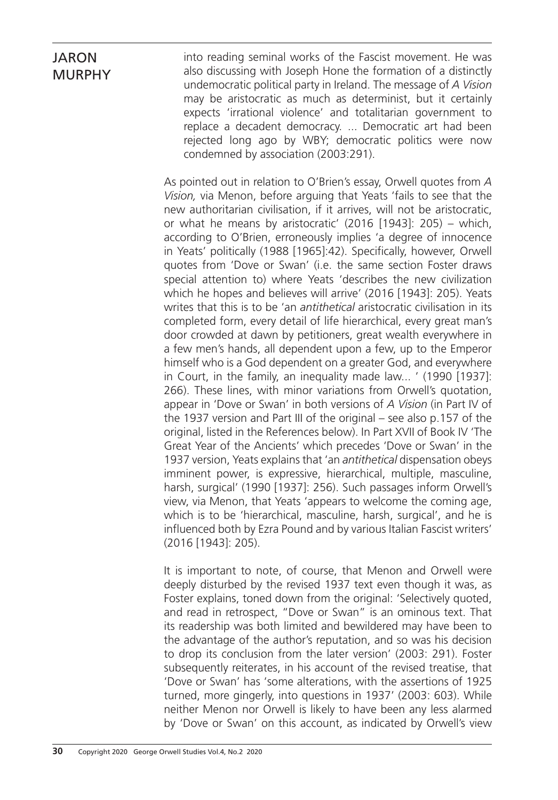into reading seminal works of the Fascist movement. He was also discussing with Joseph Hone the formation of a distinctly undemocratic political party in Ireland. The message of *A Vision* may be aristocratic as much as determinist, but it certainly expects 'irrational violence' and totalitarian government to replace a decadent democracy. ... Democratic art had been rejected long ago by WBY; democratic politics were now condemned by association (2003:291).

As pointed out in relation to O'Brien's essay, Orwell quotes from *A Vision,* via Menon, before arguing that Yeats 'fails to see that the new authoritarian civilisation, if it arrives, will not be aristocratic, or what he means by aristocratic' (2016 [1943]: 205) – which, according to O'Brien, erroneously implies 'a degree of innocence in Yeats' politically (1988 [1965]:42). Specifically, however, Orwell quotes from 'Dove or Swan' (i.e. the same section Foster draws special attention to) where Yeats 'describes the new civilization which he hopes and believes will arrive' (2016 [1943]: 205). Yeats writes that this is to be 'an *antithetical* aristocratic civilisation in its completed form, every detail of life hierarchical, every great man's door crowded at dawn by petitioners, great wealth everywhere in a few men's hands, all dependent upon a few, up to the Emperor himself who is a God dependent on a greater God, and everywhere in Court, in the family, an inequality made law... ' (1990 [1937]: 266). These lines, with minor variations from Orwell's quotation, appear in 'Dove or Swan' in both versions of *A Vision* (in Part IV of the 1937 version and Part III of the original – see also p.157 of the original, listed in the References below). In Part XVII of Book IV 'The Great Year of the Ancients' which precedes 'Dove or Swan' in the 1937 version, Yeats explains that 'an *antithetical* dispensation obeys imminent power, is expressive, hierarchical, multiple, masculine, harsh, surgical' (1990 [1937]: 256). Such passages inform Orwell's view, via Menon, that Yeats 'appears to welcome the coming age, which is to be 'hierarchical, masculine, harsh, surgical', and he is influenced both by Ezra Pound and by various Italian Fascist writers' (2016 [1943]: 205).

It is important to note, of course, that Menon and Orwell were deeply disturbed by the revised 1937 text even though it was, as Foster explains, toned down from the original: 'Selectively quoted, and read in retrospect, "Dove or Swan" is an ominous text. That its readership was both limited and bewildered may have been to the advantage of the author's reputation, and so was his decision to drop its conclusion from the later version' (2003: 291). Foster subsequently reiterates, in his account of the revised treatise, that 'Dove or Swan' has 'some alterations, with the assertions of 1925 turned, more gingerly, into questions in 1937' (2003: 603). While neither Menon nor Orwell is likely to have been any less alarmed by 'Dove or Swan' on this account, as indicated by Orwell's view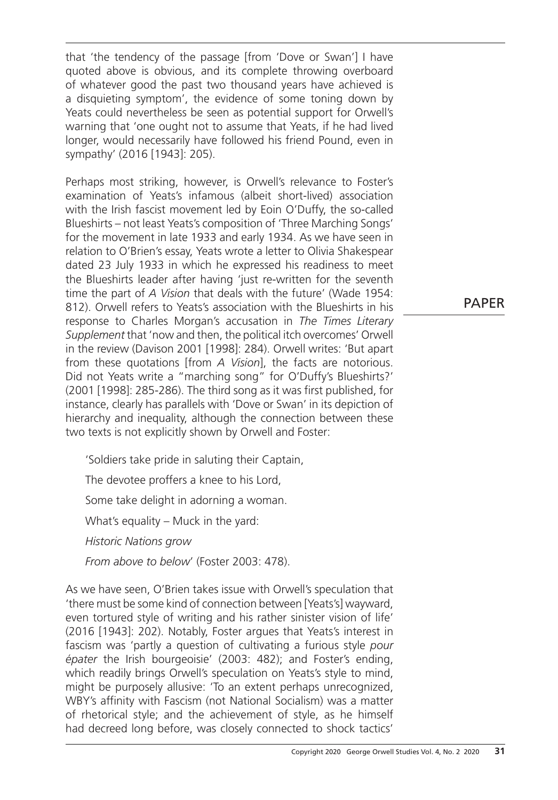that 'the tendency of the passage [from 'Dove or Swan'] I have quoted above is obvious, and its complete throwing overboard of whatever good the past two thousand years have achieved is a disquieting symptom', the evidence of some toning down by Yeats could nevertheless be seen as potential support for Orwell's warning that 'one ought not to assume that Yeats, if he had lived longer, would necessarily have followed his friend Pound, even in sympathy' (2016 [1943]: 205).

Perhaps most striking, however, is Orwell's relevance to Foster's examination of Yeats's infamous (albeit short-lived) association with the Irish fascist movement led by Eoin O'Duffy, the so-called Blueshirts – not least Yeats's composition of 'Three Marching Songs' for the movement in late 1933 and early 1934. As we have seen in relation to O'Brien's essay, Yeats wrote a letter to Olivia Shakespear dated 23 July 1933 in which he expressed his readiness to meet the Blueshirts leader after having 'just re-written for the seventh time the part of *A Vision* that deals with the future' (Wade 1954: 812). Orwell refers to Yeats's association with the Blueshirts in his response to Charles Morgan's accusation in *The Times Literary Supplement* that 'now and then, the political itch overcomes' Orwell in the review (Davison 2001 [1998]: 284). Orwell writes: 'But apart from these quotations [from *A Vision*], the facts are notorious. Did not Yeats write a "marching song" for O'Duffy's Blueshirts?' (2001 [1998]: 285-286). The third song as it was first published, for instance, clearly has parallels with 'Dove or Swan' in its depiction of hierarchy and inequality, although the connection between these two texts is not explicitly shown by Orwell and Foster:

'Soldiers take pride in saluting their Captain, The devotee proffers a knee to his Lord, Some take delight in adorning a woman. What's equality – Muck in the yard: *Historic Nations grow From above to below*' (Foster 2003: 478).

As we have seen, O'Brien takes issue with Orwell's speculation that 'there must be some kind of connection between [Yeats's] wayward, even tortured style of writing and his rather sinister vision of life' (2016 [1943]: 202). Notably, Foster argues that Yeats's interest in fascism was 'partly a question of cultivating a furious style *pour épater* the Irish bourgeoisie' (2003: 482); and Foster's ending, which readily brings Orwell's speculation on Yeats's style to mind, might be purposely allusive: 'To an extent perhaps unrecognized, WBY's affinity with Fascism (not National Socialism) was a matter of rhetorical style; and the achievement of style, as he himself had decreed long before, was closely connected to shock tactics'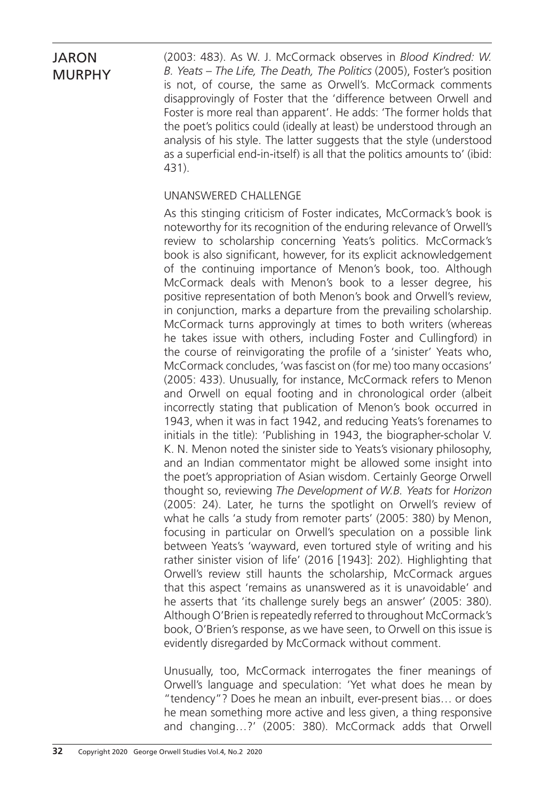(2003: 483). As W. J. McCormack observes in *Blood Kindred: W. B. Yeats – The Life, The Death, The Politics* (2005), Foster's position is not, of course, the same as Orwell's. McCormack comments disapprovingly of Foster that the 'difference between Orwell and Foster is more real than apparent'. He adds: 'The former holds that the poet's politics could (ideally at least) be understood through an analysis of his style. The latter suggests that the style (understood as a superficial end-in-itself) is all that the politics amounts to' (ibid: 431).

### Unanswered Challenge

As this stinging criticism of Foster indicates, McCormack's book is noteworthy for its recognition of the enduring relevance of Orwell's review to scholarship concerning Yeats's politics. McCormack's book is also significant, however, for its explicit acknowledgement of the continuing importance of Menon's book, too. Although McCormack deals with Menon's book to a lesser degree, his positive representation of both Menon's book and Orwell's review, in conjunction, marks a departure from the prevailing scholarship. McCormack turns approvingly at times to both writers (whereas he takes issue with others, including Foster and Cullingford) in the course of reinvigorating the profile of a 'sinister' Yeats who, McCormack concludes, 'was fascist on (for me) too many occasions' (2005: 433). Unusually, for instance, McCormack refers to Menon and Orwell on equal footing and in chronological order (albeit incorrectly stating that publication of Menon's book occurred in 1943, when it was in fact 1942, and reducing Yeats's forenames to initials in the title): 'Publishing in 1943, the biographer-scholar V. K. N. Menon noted the sinister side to Yeats's visionary philosophy, and an Indian commentator might be allowed some insight into the poet's appropriation of Asian wisdom. Certainly George Orwell thought so, reviewing *The Development of W.B. Yeats* for *Horizon* (2005: 24). Later, he turns the spotlight on Orwell's review of what he calls 'a study from remoter parts' (2005: 380) by Menon, focusing in particular on Orwell's speculation on a possible link between Yeats's 'wayward, even tortured style of writing and his rather sinister vision of life' (2016 [1943]: 202). Highlighting that Orwell's review still haunts the scholarship, McCormack argues that this aspect 'remains as unanswered as it is unavoidable' and he asserts that 'its challenge surely begs an answer' (2005: 380). Although O'Brien is repeatedly referred to throughout McCormack's book, O'Brien's response, as we have seen, to Orwell on this issue is evidently disregarded by McCormack without comment.

Unusually, too, McCormack interrogates the finer meanings of Orwell's language and speculation: 'Yet what does he mean by "tendency"? Does he mean an inbuilt, ever-present bias… or does he mean something more active and less given, a thing responsive and changing…?' (2005: 380). McCormack adds that Orwell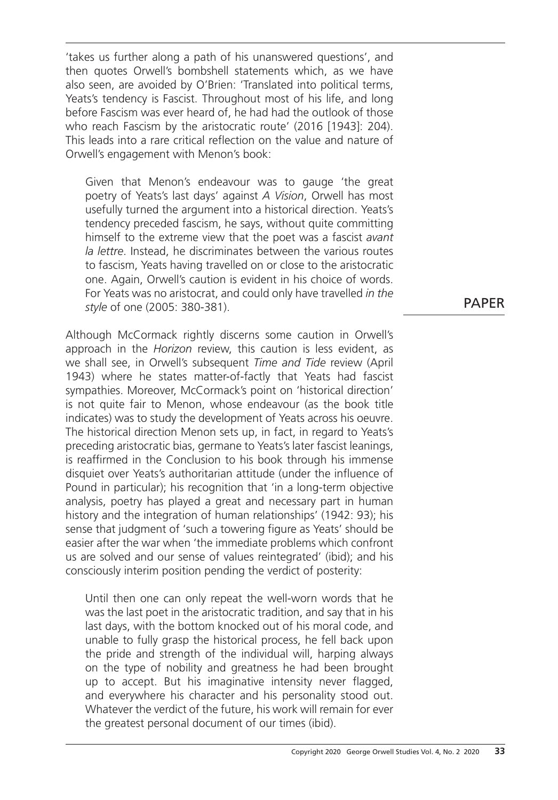'takes us further along a path of his unanswered questions', and then quotes Orwell's bombshell statements which, as we have also seen, are avoided by O'Brien: 'Translated into political terms, Yeats's tendency is Fascist. Throughout most of his life, and long before Fascism was ever heard of, he had had the outlook of those who reach Fascism by the aristocratic route' (2016 [1943]: 204). This leads into a rare critical reflection on the value and nature of Orwell's engagement with Menon's book:

Given that Menon's endeavour was to gauge 'the great poetry of Yeats's last days' against *A Vision*, Orwell has most usefully turned the argument into a historical direction. Yeats's tendency preceded fascism, he says, without quite committing himself to the extreme view that the poet was a fascist *avant la lettre*. Instead, he discriminates between the various routes to fascism, Yeats having travelled on or close to the aristocratic one. Again, Orwell's caution is evident in his choice of words. For Yeats was no aristocrat, and could only have travelled *in the style* of one (2005: 380-381).

Although McCormack rightly discerns some caution in Orwell's approach in the *Horizon* review, this caution is less evident, as we shall see, in Orwell's subsequent *Time and Tide* review (April 1943) where he states matter-of-factly that Yeats had fascist sympathies. Moreover, McCormack's point on 'historical direction' is not quite fair to Menon, whose endeavour (as the book title indicates) was to study the development of Yeats across his oeuvre. The historical direction Menon sets up, in fact, in regard to Yeats's preceding aristocratic bias, germane to Yeats's later fascist leanings, is reaffirmed in the Conclusion to his book through his immense disquiet over Yeats's authoritarian attitude (under the influence of Pound in particular); his recognition that 'in a long-term objective analysis, poetry has played a great and necessary part in human history and the integration of human relationships' (1942: 93); his sense that judgment of 'such a towering figure as Yeats' should be easier after the war when 'the immediate problems which confront us are solved and our sense of values reintegrated' (ibid); and his consciously interim position pending the verdict of posterity:

Until then one can only repeat the well-worn words that he was the last poet in the aristocratic tradition, and say that in his last days, with the bottom knocked out of his moral code, and unable to fully grasp the historical process, he fell back upon the pride and strength of the individual will, harping always on the type of nobility and greatness he had been brought up to accept. But his imaginative intensity never flagged, and everywhere his character and his personality stood out. Whatever the verdict of the future, his work will remain for ever the greatest personal document of our times (ibid).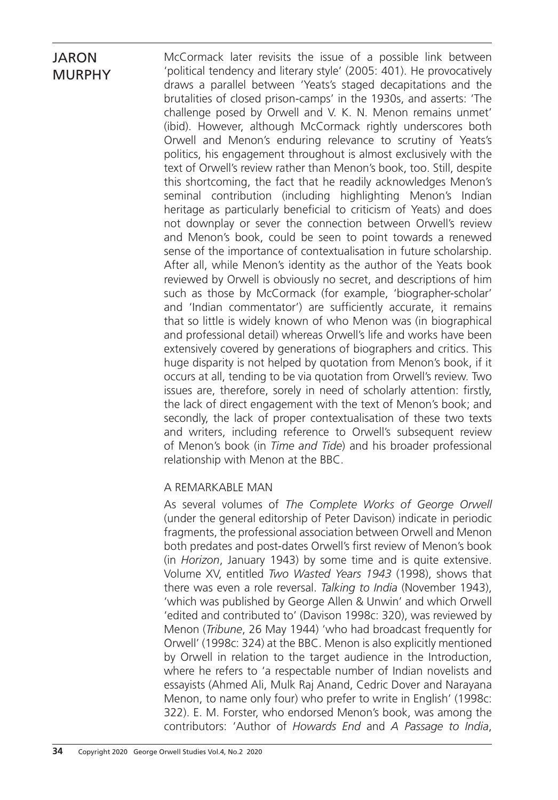McCormack later revisits the issue of a possible link between 'political tendency and literary style' (2005: 401). He provocatively draws a parallel between 'Yeats's staged decapitations and the brutalities of closed prison-camps' in the 1930s, and asserts: 'The challenge posed by Orwell and V. K. N. Menon remains unmet' (ibid). However, although McCormack rightly underscores both Orwell and Menon's enduring relevance to scrutiny of Yeats's politics, his engagement throughout is almost exclusively with the text of Orwell's review rather than Menon's book, too. Still, despite this shortcoming, the fact that he readily acknowledges Menon's seminal contribution (including highlighting Menon's Indian heritage as particularly beneficial to criticism of Yeats) and does not downplay or sever the connection between Orwell's review and Menon's book, could be seen to point towards a renewed sense of the importance of contextualisation in future scholarship. After all, while Menon's identity as the author of the Yeats book reviewed by Orwell is obviously no secret, and descriptions of him such as those by McCormack (for example, 'biographer-scholar' and 'Indian commentator') are sufficiently accurate, it remains that so little is widely known of who Menon was (in biographical and professional detail) whereas Orwell's life and works have been extensively covered by generations of biographers and critics. This huge disparity is not helped by quotation from Menon's book, if it occurs at all, tending to be via quotation from Orwell's review. Two issues are, therefore, sorely in need of scholarly attention: firstly, the lack of direct engagement with the text of Menon's book; and secondly, the lack of proper contextualisation of these two texts and writers, including reference to Orwell's subsequent review of Menon's book (in *Time and Tide*) and his broader professional relationship with Menon at the BBC.

#### A Remarkable Man

As several volumes of *The Complete Works of George Orwell* (under the general editorship of Peter Davison) indicate in periodic fragments, the professional association between Orwell and Menon both predates and post-dates Orwell's first review of Menon's book (in *Horizon*, January 1943) by some time and is quite extensive. Volume XV, entitled *Two Wasted Years 1943* (1998), shows that there was even a role reversal. *Talking to India* (November 1943), 'which was published by George Allen & Unwin' and which Orwell 'edited and contributed to' (Davison 1998c: 320), was reviewed by Menon (*Tribune*, 26 May 1944) 'who had broadcast frequently for Orwell' (1998c: 324) at the BBC. Menon is also explicitly mentioned by Orwell in relation to the target audience in the Introduction, where he refers to 'a respectable number of Indian novelists and essayists (Ahmed Ali, Mulk Raj Anand, Cedric Dover and Narayana Menon, to name only four) who prefer to write in English' (1998c: 322). E. M. Forster, who endorsed Menon's book, was among the contributors: 'Author of *Howards End* and *A Passage to India*,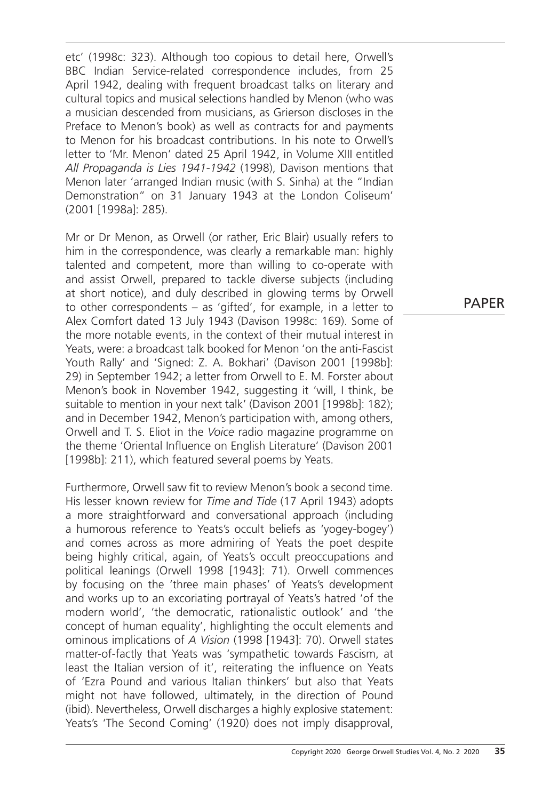etc' (1998c: 323). Although too copious to detail here, Orwell's BBC Indian Service-related correspondence includes, from 25 April 1942, dealing with frequent broadcast talks on literary and cultural topics and musical selections handled by Menon (who was a musician descended from musicians, as Grierson discloses in the Preface to Menon's book) as well as contracts for and payments to Menon for his broadcast contributions. In his note to Orwell's letter to 'Mr. Menon' dated 25 April 1942, in Volume XIII entitled *All Propaganda is Lies 1941-1942* (1998), Davison mentions that Menon later 'arranged Indian music (with S. Sinha) at the "Indian Demonstration" on 31 January 1943 at the London Coliseum' (2001 [1998a]: 285).

Mr or Dr Menon, as Orwell (or rather, Eric Blair) usually refers to him in the correspondence, was clearly a remarkable man: highly talented and competent, more than willing to co-operate with and assist Orwell, prepared to tackle diverse subjects (including at short notice), and duly described in glowing terms by Orwell to other correspondents – as 'gifted', for example, in a letter to Alex Comfort dated 13 July 1943 (Davison 1998c: 169). Some of the more notable events, in the context of their mutual interest in Yeats, were: a broadcast talk booked for Menon 'on the anti-Fascist Youth Rally' and 'Signed: Z. A. Bokhari' (Davison 2001 [1998b]: 29) in September 1942; a letter from Orwell to E. M. Forster about Menon's book in November 1942, suggesting it 'will, I think, be suitable to mention in your next talk' (Davison 2001 [1998b]: 182); and in December 1942, Menon's participation with, among others, Orwell and T. S. Eliot in the *Voice* radio magazine programme on the theme 'Oriental Influence on English Literature' (Davison 2001 [1998b]: 211), which featured several poems by Yeats.

Furthermore, Orwell saw fit to review Menon's book a second time. His lesser known review for *Time and Tide* (17 April 1943) adopts a more straightforward and conversational approach (including a humorous reference to Yeats's occult beliefs as 'yogey-bogey') and comes across as more admiring of Yeats the poet despite being highly critical, again, of Yeats's occult preoccupations and political leanings (Orwell 1998 [1943]: 71). Orwell commences by focusing on the 'three main phases' of Yeats's development and works up to an excoriating portrayal of Yeats's hatred 'of the modern world', 'the democratic, rationalistic outlook' and 'the concept of human equality', highlighting the occult elements and ominous implications of *A Vision* (1998 [1943]: 70). Orwell states matter-of-factly that Yeats was 'sympathetic towards Fascism, at least the Italian version of it', reiterating the influence on Yeats of 'Ezra Pound and various Italian thinkers' but also that Yeats might not have followed, ultimately, in the direction of Pound (ibid). Nevertheless, Orwell discharges a highly explosive statement: Yeats's 'The Second Coming' (1920) does not imply disapproval,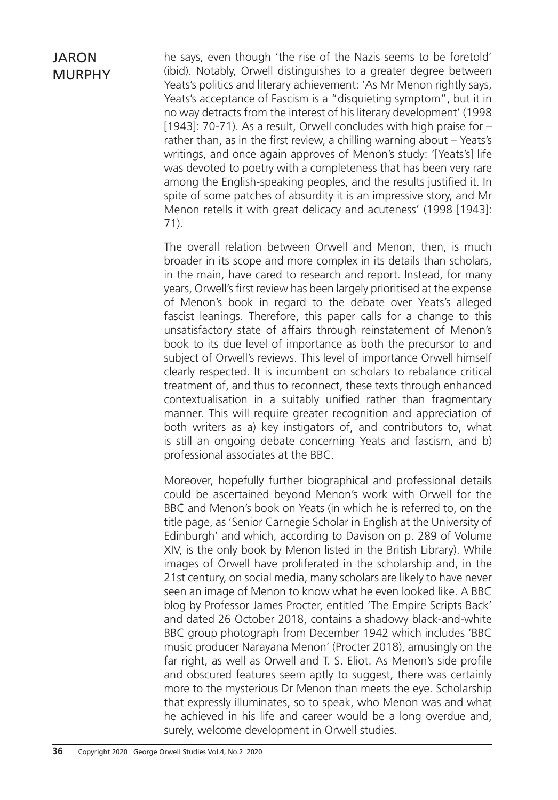he says, even though 'the rise of the Nazis seems to be foretold' (ibid). Notably, Orwell distinguishes to a greater degree between Yeats's politics and literary achievement: 'As Mr Menon rightly says, Yeats's acceptance of Fascism is a "disquieting symptom", but it in no way detracts from the interest of his literary development' (1998 [1943]: 70-71). As a result, Orwell concludes with high praise for – rather than, as in the first review, a chilling warning about – Yeats's writings, and once again approves of Menon's study: '[Yeats's] life was devoted to poetry with a completeness that has been very rare among the English-speaking peoples, and the results justified it. In spite of some patches of absurdity it is an impressive story, and Mr Menon retells it with great delicacy and acuteness' (1998 [1943]: 71).

The overall relation between Orwell and Menon, then, is much broader in its scope and more complex in its details than scholars, in the main, have cared to research and report. Instead, for many years, Orwell's first review has been largely prioritised at the expense of Menon's book in regard to the debate over Yeats's alleged fascist leanings. Therefore, this paper calls for a change to this unsatisfactory state of affairs through reinstatement of Menon's book to its due level of importance as both the precursor to and subject of Orwell's reviews. This level of importance Orwell himself clearly respected. It is incumbent on scholars to rebalance critical treatment of, and thus to reconnect, these texts through enhanced contextualisation in a suitably unified rather than fragmentary manner. This will require greater recognition and appreciation of both writers as a) key instigators of, and contributors to, what is still an ongoing debate concerning Yeats and fascism, and b) professional associates at the BBC.

Moreover, hopefully further biographical and professional details could be ascertained beyond Menon's work with Orwell for the BBC and Menon's book on Yeats (in which he is referred to, on the title page, as 'Senior Carnegie Scholar in English at the University of Edinburgh' and which, according to Davison on p. 289 of Volume XIV, is the only book by Menon listed in the British Library). While images of Orwell have proliferated in the scholarship and, in the 21st century, on social media, many scholars are likely to have never seen an image of Menon to know what he even looked like. A BBC blog by Professor James Procter, entitled 'The Empire Scripts Back' and dated 26 October 2018, contains a shadowy black-and-white BBC group photograph from December 1942 which includes 'BBC music producer Narayana Menon' (Procter 2018), amusingly on the far right, as well as Orwell and T. S. Eliot. As Menon's side profile and obscured features seem aptly to suggest, there was certainly more to the mysterious Dr Menon than meets the eye. Scholarship that expressly illuminates, so to speak, who Menon was and what he achieved in his life and career would be a long overdue and, surely, welcome development in Orwell studies.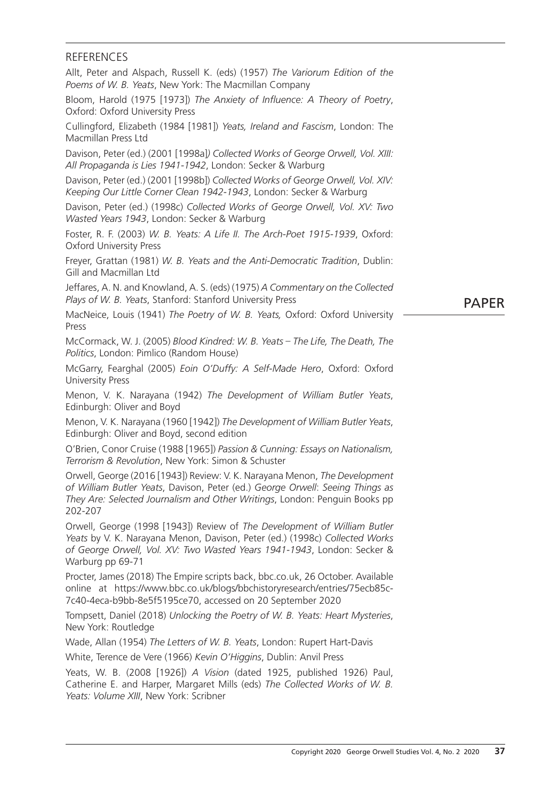#### **REFERENCES**

Allt, Peter and Alspach, Russell K. (eds) (1957) *The Variorum Edition of the Poems of W. B. Yeats*, New York: The Macmillan Company

Bloom, Harold (1975 [1973]) *The Anxiety of Influence: A Theory of Poetry*, Oxford: Oxford University Press

Cullingford, Elizabeth (1984 [1981]) *Yeats, Ireland and Fascism*, London: The Macmillan Press Ltd

Davison, Peter (ed.) (2001 [1998a]*) Collected Works of George Orwell, Vol. XIII: All Propaganda is Lies 1941-1942*, London: Secker & Warburg

Davison, Peter (ed.) (2001 [1998b]) *Collected Works of George Orwell, Vol. XIV: Keeping Our Little Corner Clean 1942-1943*, London: Secker & Warburg

Davison, Peter (ed.) (1998c) *Collected Works of George Orwell, Vol. XV: Two Wasted Years 1943*, London: Secker & Warburg

Foster, R. F. (2003) *W. B. Yeats: A Life II. The Arch-Poet 1915-1939*, Oxford: Oxford University Press

Freyer, Grattan (1981) *W. B. Yeats and the Anti-Democratic Tradition*, Dublin: Gill and Macmillan Ltd

Jeffares, A. N. and Knowland, A. S. (eds) (1975) *A Commentary on the Collected Plays of W. B. Yeats*, Stanford: Stanford University Press

PAPER

MacNeice, Louis (1941) *The Poetry of W. B. Yeats,* Oxford: Oxford University Press

McCormack, W. J. (2005) *Blood Kindred: W. B. Yeats* – *The Life, The Death, The Politics*, London: Pimlico (Random House)

McGarry, Fearghal (2005) *Eoin O'Duffy: A Self-Made Hero*, Oxford: Oxford University Press

Menon, V. K. Narayana (1942) *The Development of William Butler Yeats*, Edinburgh: Oliver and Boyd

Menon, V. K. Narayana (1960 [1942]) *The Development of William Butler Yeats*, Edinburgh: Oliver and Boyd, second edition

O'Brien, Conor Cruise (1988 [1965]) *Passion & Cunning: Essays on Nationalism, Terrorism & Revolution*, New York: Simon & Schuster

Orwell, George (2016 [1943]) Review: V. K. Narayana Menon, *The Development of William Butler Yeats*, Davison, Peter (ed.) *George Orwell*: *Seeing Things as They Are: Selected Journalism and Other Writings*, London: Penguin Books pp 202-207

Orwell, George (1998 [1943]) Review of *The Development of William Butler Yeats* by V. K. Narayana Menon, Davison, Peter (ed.) (1998c) *Collected Works of George Orwell, Vol. XV: Two Wasted Years 1941-1943*, London: Secker & Warburg pp 69-71

Procter, James (2018) The Empire scripts back, bbc.co.uk, 26 October. Available online at https://www.bbc.co.uk/blogs/bbchistoryresearch/entries/75ecb85c-7c40-4eca-b9bb-8e5f5195ce70, accessed on 20 September 2020

Tompsett, Daniel (2018) *Unlocking the Poetry of W. B. Yeats: Heart Mysteries*, New York: Routledge

Wade, Allan (1954) *The Letters of W. B. Yeats*, London: Rupert Hart-Davis

White, Terence de Vere (1966) *Kevin O'Higgins*, Dublin: Anvil Press

Yeats, W. B. (2008 [1926]) *A Vision* (dated 1925, published 1926) Paul, Catherine E. and Harper, Margaret Mills (eds) *The Collected Works of W. B. Yeats: Volume XIII*, New York: Scribner